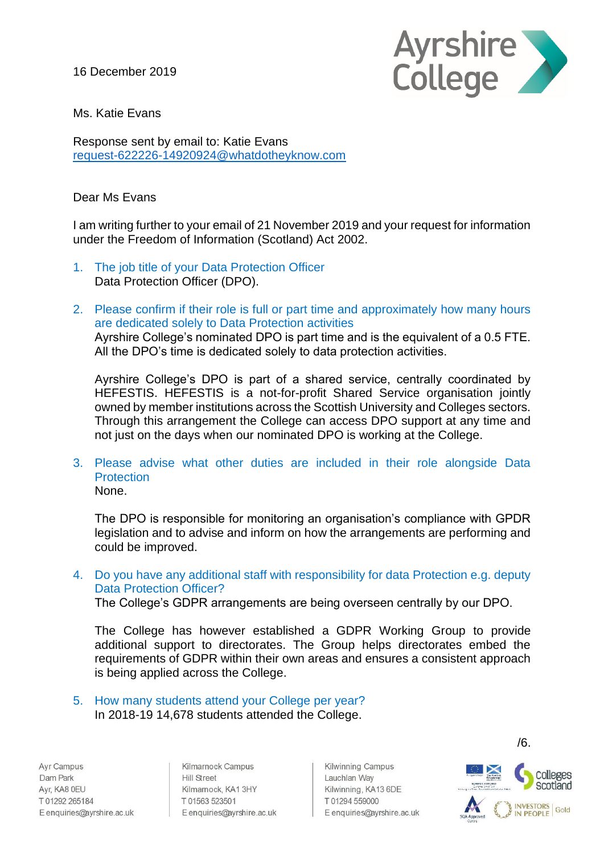16 December 2019



Ms. Katie Evans

Response sent by email to: Katie Evans [request-622226-14920924@whatdotheyknow.com](mailto:xxxxxxxxxxxxxxxxxxxxxxx@xxxxxxxxxxxxxx.xxx)

## Dear Ms Evans

I am writing further to your email of 21 November 2019 and your request for information under the Freedom of Information (Scotland) Act 2002.

- 1. The job title of your Data Protection Officer Data Protection Officer (DPO).
- 2. Please confirm if their role is full or part time and approximately how many hours are dedicated solely to Data Protection activities Ayrshire College's nominated DPO is part time and is the equivalent of a 0.5 FTE. All the DPO's time is dedicated solely to data protection activities.

Ayrshire College's DPO is part of a shared service, centrally coordinated by HEFESTIS. HEFESTIS is a not-for-profit Shared Service organisation jointly owned by member institutions across the Scottish University and Colleges sectors. Through this arrangement the College can access DPO support at any time and not just on the days when our nominated DPO is working at the College.

## 3. Please advise what other duties are included in their role alongside Data **Protection** None.

The DPO is responsible for monitoring an organisation's compliance with GPDR legislation and to advise and inform on how the arrangements are performing and could be improved.

4. Do you have any additional staff with responsibility for data Protection e.g. deputy Data Protection Officer?

The College's GDPR arrangements are being overseen centrally by our DPO.

The College has however established a GDPR Working Group to provide additional support to directorates. The Group helps directorates embed the requirements of GDPR within their own areas and ensures a consistent approach is being applied across the College.

5. How many students attend your College per year? In 2018-19 14,678 students attended the College.

Ayr Campus Dam Park Ayr, KA8 0EU T 01292 265184 E enquiries@ayrshire.ac.uk

Kilmarnock Campus **Hill Street** Kilmarnock, KA1 3HY T01563 523501 E enquiries@ayrshire.ac.uk

Kilwinning Campus Lauchlan Way Kilwinning, KA13 6DE T01294559000 E enquiries@ayrshire.ac.uk



/6.